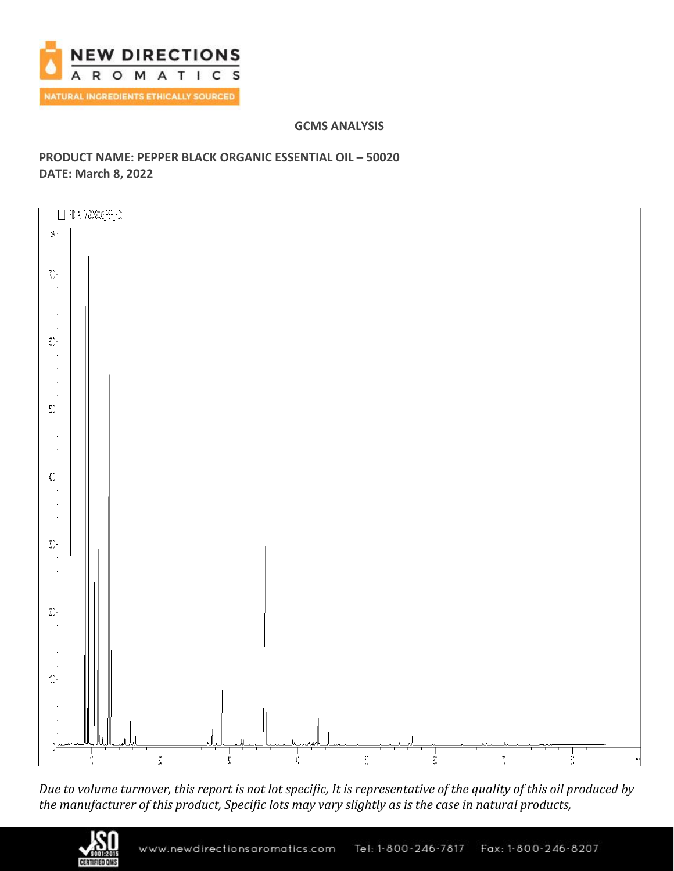

## **GCMS ANALYSIS**

# **PRODUCT NAME: PEPPER BLACK ORGANIC ESSENTIAL OIL – 50020 DATE: March 8, 2022**



*Due to volume turnover, this report is not lot specific, It is representative of the quality of this oil produced by the manufacturer of this product, Specific lots may vary slightly as is the case in natural products,*

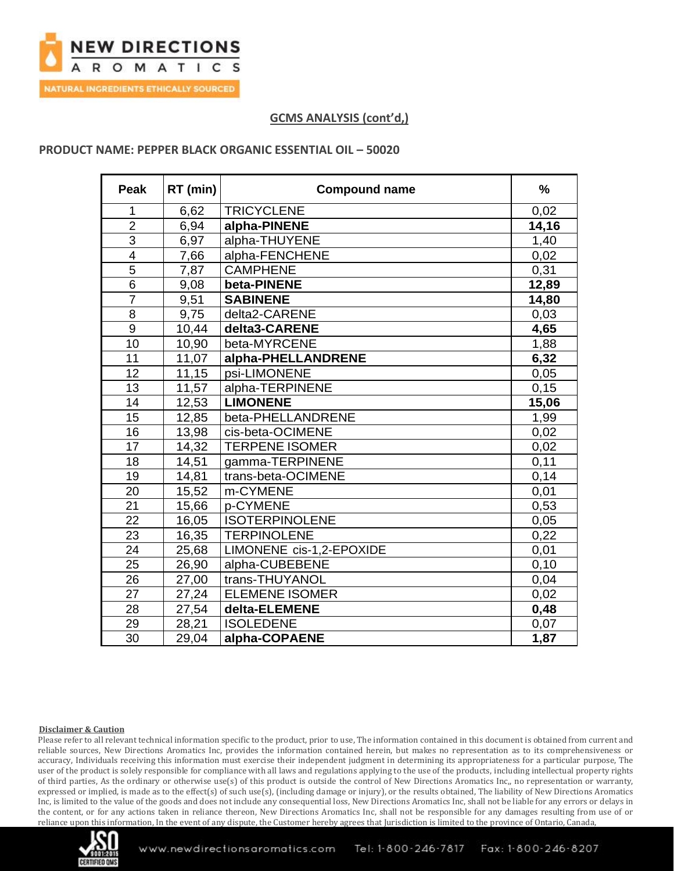

### **PRODUCT NAME: PEPPER BLACK ORGANIC ESSENTIAL OIL – 50020**

| <b>Peak</b>     | RT (min) | <b>Compound name</b>     | $\%$  |
|-----------------|----------|--------------------------|-------|
| 1               | 6,62     | <b>TRICYCLENE</b>        | 0,02  |
| $\overline{2}$  | 6,94     | alpha-PINENE             | 14,16 |
| 3               | 6,97     | alpha-THUYENE            | 1,40  |
| $\overline{4}$  | 7,66     | alpha-FENCHENE           | 0,02  |
| 5               | 7,87     | <b>CAMPHENE</b>          | 0,31  |
| $6\phantom{1}6$ | 9,08     | beta-PINENE              | 12,89 |
| $\overline{7}$  | 9,51     | <b>SABINENE</b>          | 14,80 |
| 8               | 9,75     | delta2-CARENE            | 0,03  |
| 9               | 10,44    | delta3-CARENE            | 4,65  |
| 10              | 10,90    | beta-MYRCENE             | 1,88  |
| 11              | 11,07    | alpha-PHELLANDRENE       | 6,32  |
| 12              | 11,15    | psi-LIMONENE             | 0,05  |
| 13              | 11,57    | alpha-TERPINENE          | 0,15  |
| 14              | 12,53    | <b>LIMONENE</b>          | 15,06 |
| 15              | 12,85    | beta-PHELLANDRENE        | 1,99  |
| 16              | 13,98    | cis-beta-OCIMENE         | 0,02  |
| 17              | 14,32    | <b>TERPENE ISOMER</b>    | 0,02  |
| 18              | 14,51    | gamma-TERPINENE          | 0,11  |
| 19              | 14,81    | trans-beta-OCIMENE       | 0,14  |
| 20              | 15,52    | m-CYMENE                 | 0,01  |
| 21              | 15,66    | p-CYMENE                 | 0,53  |
| 22              | 16,05    | <b>ISOTERPINOLENE</b>    | 0,05  |
| 23              | 16,35    | <b>TERPINOLENE</b>       | 0,22  |
| 24              | 25,68    | LIMONENE cis-1,2-EPOXIDE | 0,01  |
| 25              | 26,90    | alpha-CUBEBENE           | 0,10  |
| 26              | 27,00    | trans-THUYANOL           | 0,04  |
| 27              | 27,24    | <b>ELEMENE ISOMER</b>    | 0,02  |
| 28              | 27,54    | delta-ELEMENE            | 0,48  |
| 29              | 28,21    | <b>ISOLEDENE</b>         | 0,07  |
| 30              | 29,04    | alpha-COPAENE            | 1,87  |

#### **Disclaimer & Caution**

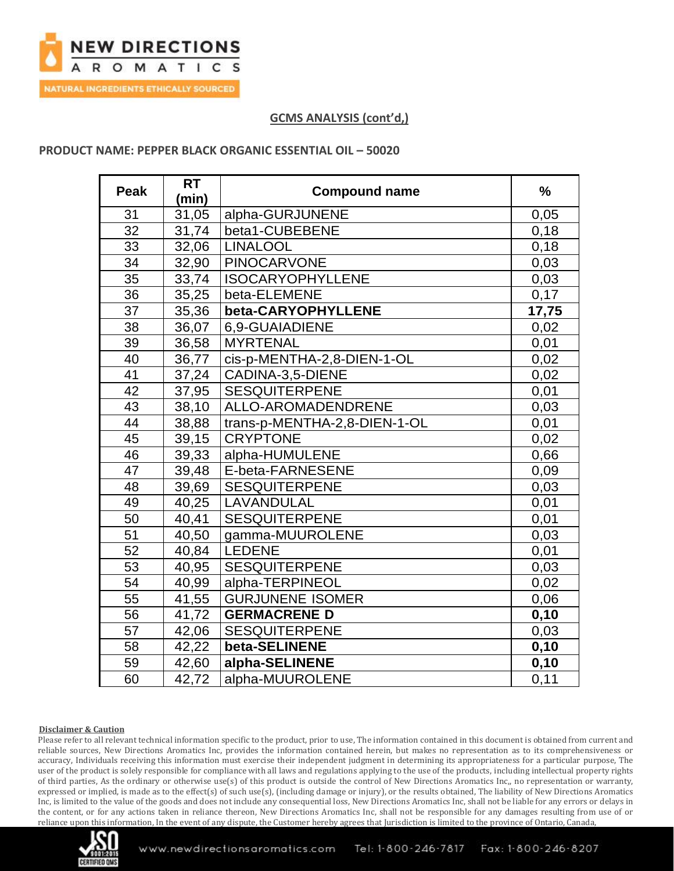

### **PRODUCT NAME: PEPPER BLACK ORGANIC ESSENTIAL OIL – 50020**

| Peak | <b>RT</b><br>(min) | <b>Compound name</b>         | $\frac{9}{6}$ |
|------|--------------------|------------------------------|---------------|
| 31   | 31,05              | alpha-GURJUNENE              | 0,05          |
| 32   | 31,74              | beta1-CUBEBENE               | 0,18          |
| 33   | 32,06              | <b>LINALOOL</b>              | 0,18          |
| 34   | 32,90              | <b>PINOCARVONE</b>           | 0,03          |
| 35   | 33,74              | <b>ISOCARYOPHYLLENE</b>      | 0,03          |
| 36   | 35,25              | beta-ELEMENE                 | 0,17          |
| 37   | 35,36              | beta-CARYOPHYLLENE           | 17,75         |
| 38   | 36,07              | 6.9-GUAIADIENE               | 0,02          |
| 39   | 36,58              | <b>MYRTENAL</b>              | 0,01          |
| 40   | 36,77              | cis-p-MENTHA-2,8-DIEN-1-OL   | 0,02          |
| 41   | 37,24              | CADINA-3,5-DIENE             | 0,02          |
| 42   | 37,95              | <b>SESQUITERPENE</b>         | 0,01          |
| 43   | 38,10              | ALLO-AROMADENDRENE           | 0,03          |
| 44   | 38,88              | trans-p-MENTHA-2,8-DIEN-1-OL | 0,01          |
| 45   | 39,15              | <b>CRYPTONE</b>              | 0,02          |
| 46   | 39,33              | alpha-HUMULENE               | 0,66          |
| 47   | 39,48              | E-beta-FARNESENE             | 0,09          |
| 48   | 39,69              | <b>SESQUITERPENE</b>         | 0,03          |
| 49   | 40,25              | LAVANDULAL                   | 0,01          |
| 50   | 40,41              | <b>SESQUITERPENE</b>         | 0,01          |
| 51   | 40,50              | gamma-MUUROLENE              | 0,03          |
| 52   | 40,84              | <b>LEDENE</b>                | 0,01          |
| 53   | 40,95              | <b>SESQUITERPENE</b>         | 0,03          |
| 54   | 40,99              | alpha-TERPINEOL              | 0,02          |
| 55   | 41,55              | <b>GURJUNENE ISOMER</b>      | 0,06          |
| 56   | 41,72              | <b>GERMACRENE D</b>          | 0,10          |
| 57   | 42,06              | <b>SESQUITERPENE</b>         | 0,03          |
| 58   | 42,22              | beta-SELINENE                | 0, 10         |
| 59   | 42,60              | alpha-SELINENE               | 0,10          |
| 60   | 42.72              | alpha-MUUROLENE              | 0,11          |

#### **Disclaimer & Caution**

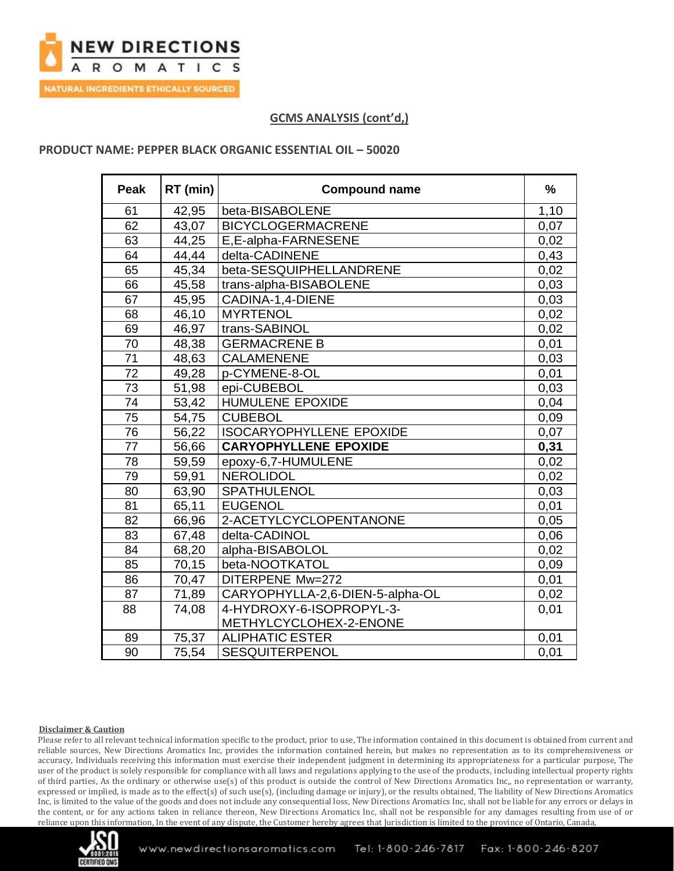

### **PRODUCT NAME: PEPPER BLACK ORGANIC ESSENTIAL OIL – 50020**

| <b>Peak</b>     | RT (min) | <b>Compound name</b>            | $\frac{9}{6}$ |
|-----------------|----------|---------------------------------|---------------|
| 61              | 42,95    | beta-BISABOLENE                 | 1,10          |
| 62              | 43,07    | <b>BICYCLOGERMACRENE</b>        | 0,07          |
| 63              | 44,25    | E,E-alpha-FARNESENE             | 0,02          |
| 64              | 44,44    | delta-CADINENE                  | 0,43          |
| 65              | 45,34    | beta-SESQUIPHELLANDRENE         | 0,02          |
| 66              | 45,58    | trans-alpha-BISABOLENE          | 0,03          |
| 67              | 45,95    | CADINA-1,4-DIENE                | 0,03          |
| 68              | 46,10    | <b>MYRTENOL</b>                 | 0,02          |
| 69              | 46,97    | trans-SABINOL                   | 0,02          |
| 70              | 48,38    | <b>GERMACRENE B</b>             | 0,01          |
| $\overline{71}$ | 48,63    | <b>CALAMENENE</b>               | 0,03          |
| $\overline{72}$ | 49,28    | p-CYMENE-8-OL                   | 0,01          |
| 73              | 51,98    | epi-CUBEBOL                     | 0,03          |
| 74              | 53,42    | <b>HUMULENE EPOXIDE</b>         | 0,04          |
| 75              | 54,75    | <b>CUBEBOL</b>                  | 0,09          |
| 76              | 56,22    | <b>ISOCARYOPHYLLENE EPOXIDE</b> | 0,07          |
| 77              | 56,66    | <b>CARYOPHYLLENE EPOXIDE</b>    | 0,31          |
| 78              | 59,59    | epoxy-6,7-HUMULENE              | 0,02          |
| 79              | 59,91    | <b>NEROLIDOL</b>                | 0,02          |
| 80              | 63,90    | SPATHULENOL                     | 0,03          |
| 81              | 65,11    | <b>EUGENOL</b>                  | 0,01          |
| 82              | 66,96    | 2-ACETYLCYCLOPENTANONE          | 0,05          |
| 83              | 67,48    | delta-CADINOL                   | 0,06          |
| 84              | 68,20    | alpha-BISABOLOL                 | 0,02          |
| 85              | 70,15    | beta-NOOTKATOL                  | 0,09          |
| 86              | 70,47    | DITERPENE Mw=272                | 0,01          |
| 87              | 71,89    | CARYOPHYLLA-2,6-DIEN-5-alpha-OL | 0,02          |
| 88              | 74,08    | 4-HYDROXY-6-ISOPROPYL-3-        | 0,01          |
|                 |          | METHYLCYCLOHEX-2-ENONE          |               |
| 89              | 75,37    | <b>ALIPHATIC ESTER</b>          | 0,01          |
| 90              | 75,54    | <b>SESQUITERPENOL</b>           | 0,01          |

#### **Disclaimer & Caution**